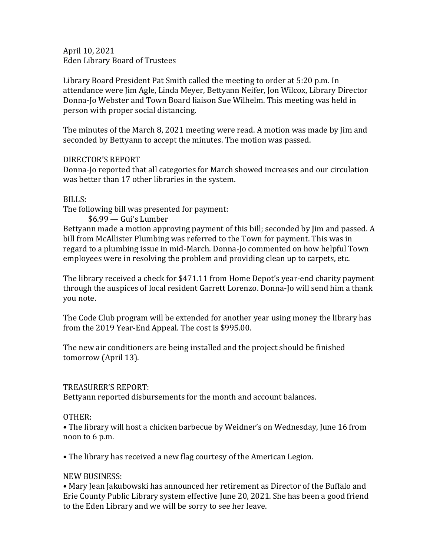April 10, 2021 Eden Library Board of Trustees

Library Board President Pat Smith called the meeting to order at 5:20 p.m. In attendance were Jim Agle, Linda Meyer, Bettyann Neifer, Jon Wilcox, Library Director Donna-Jo Webster and Town Board liaison Sue Wilhelm. This meeting was held in person with proper social distancing.

The minutes of the March 8, 2021 meeting were read. A motion was made by Jim and seconded by Bettyann to accept the minutes. The motion was passed.

## DIRECTOR'S REPORT

Donna-Jo reported that all categories for March showed increases and our circulation was better than 17 other libraries in the system.

## BILLS:

The following bill was presented for payment:

\$6.99 — Gui's Lumber

Bettyann made a motion approving payment of this bill; seconded by Jim and passed. A bill from McAllister Plumbing was referred to the Town for payment. This was in regard to a plumbing issue in mid-March. Donna-Jo commented on how helpful Town employees were in resolving the problem and providing clean up to carpets, etc.

The library received a check for \$471.11 from Home Depot's year-end charity payment through the auspices of local resident Garrett Lorenzo. Donna-Jo will send him a thank you note.

The Code Club program will be extended for another year using money the library has from the 2019 Year-End Appeal. The cost is \$995.00.

The new air conditioners are being installed and the project should be finished tomorrow (April 13).

## TREASURER'S REPORT:

Bettyann reported disbursements for the month and account balances.

# OTHER:

• The library will host a chicken barbecue by Weidner's on Wednesday, June 16 from noon to 6 p.m.

• The library has received a new flag courtesy of the American Legion.

# NEW BUSINESS:

• Mary Jean Jakubowski has announced her retirement as Director of the Buffalo and Erie County Public Library system effective June 20, 2021. She has been a good friend to the Eden Library and we will be sorry to see her leave.